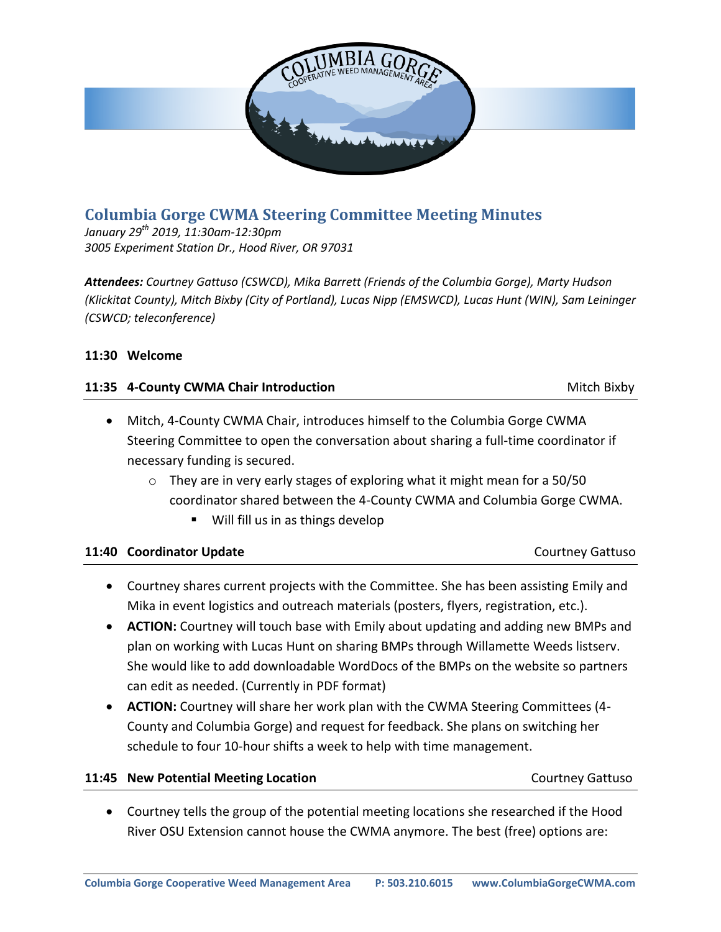

# **Columbia Gorge CWMA Steering Committee Meeting Minutes**

*January 29th 2019, 11:30am-12:30pm 3005 Experiment Station Dr., Hood River, OR 97031*

*Attendees: Courtney Gattuso (CSWCD), Mika Barrett (Friends of the Columbia Gorge), Marty Hudson (Klickitat County), Mitch Bixby (City of Portland), Lucas Nipp (EMSWCD), Lucas Hunt (WIN), Sam Leininger (CSWCD; teleconference)*

# **11:30 Welcome**

### **11:35 4-County CWMA Chair Introduction 11:35 4-County CWMA Chair Introduction**

- Mitch, 4-County CWMA Chair, introduces himself to the Columbia Gorge CWMA Steering Committee to open the conversation about sharing a full-time coordinator if necessary funding is secured.
	- o They are in very early stages of exploring what it might mean for a 50/50 coordinator shared between the 4-County CWMA and Columbia Gorge CWMA.
		- Will fill us in as things develop

|  |  | 11:40 Coordinator Update |  |
|--|--|--------------------------|--|
|--|--|--------------------------|--|

- Courtney shares current projects with the Committee. She has been assisting Emily and Mika in event logistics and outreach materials (posters, flyers, registration, etc.).
- **ACTION:** Courtney will touch base with Emily about updating and adding new BMPs and plan on working with Lucas Hunt on sharing BMPs through Willamette Weeds listserv. She would like to add downloadable WordDocs of the BMPs on the website so partners can edit as needed. (Currently in PDF format)
- **ACTION:** Courtney will share her work plan with the CWMA Steering Committees (4- County and Columbia Gorge) and request for feedback. She plans on switching her schedule to four 10-hour shifts a week to help with time management.

# **11:45 New Potential Meeting Location** Courtney Gattuso

**11:40 Coordinator Update** Courtney Gattuso

 Courtney tells the group of the potential meeting locations she researched if the Hood River OSU Extension cannot house the CWMA anymore. The best (free) options are:

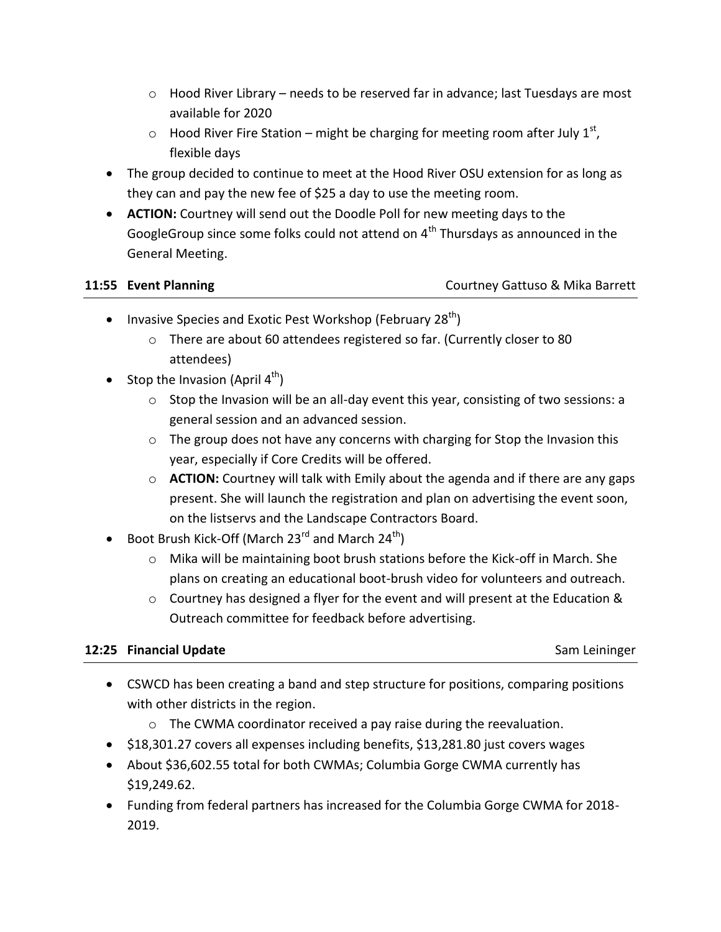- $\circ$  Hood River Library needs to be reserved far in advance; last Tuesdays are most available for 2020
- $\circ$  Hood River Fire Station might be charging for meeting room after July 1<sup>st</sup>, flexible days
- The group decided to continue to meet at the Hood River OSU extension for as long as they can and pay the new fee of \$25 a day to use the meeting room.
- **ACTION:** Courtney will send out the Doodle Poll for new meeting days to the GoogleGroup since some folks could not attend on  $4<sup>th</sup>$  Thursdays as announced in the General Meeting.

# **11:55 Event Planning** Courtney Gattuso & Mika Barrett

- Invasive Species and Exotic Pest Workshop (February 28 $<sup>th</sup>$ )</sup>
	- o There are about 60 attendees registered so far. (Currently closer to 80 attendees)
- Stop the Invasion (April  $4<sup>th</sup>$ )
	- $\circ$  Stop the Invasion will be an all-day event this year, consisting of two sessions: a general session and an advanced session.
	- o The group does not have any concerns with charging for Stop the Invasion this year, especially if Core Credits will be offered.
	- o **ACTION:** Courtney will talk with Emily about the agenda and if there are any gaps present. She will launch the registration and plan on advertising the event soon, on the listservs and the Landscape Contractors Board.
- **•** Boot Brush Kick-Off (March 23<sup>rd</sup> and March 24<sup>th</sup>)
	- o Mika will be maintaining boot brush stations before the Kick-off in March. She plans on creating an educational boot-brush video for volunteers and outreach.
	- o Courtney has designed a flyer for the event and will present at the Education & Outreach committee for feedback before advertising.

# **12:25 Financial Update** Sam Leininger Sam Leininger Sam Leininger

- CSWCD has been creating a band and step structure for positions, comparing positions with other districts in the region.
	- o The CWMA coordinator received a pay raise during the reevaluation.
- \$18,301.27 covers all expenses including benefits, \$13,281.80 just covers wages
- About \$36,602.55 total for both CWMAs; Columbia Gorge CWMA currently has \$19,249.62.
- Funding from federal partners has increased for the Columbia Gorge CWMA for 2018- 2019.